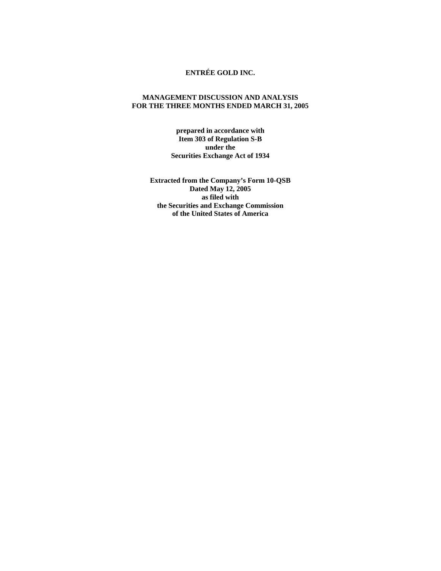## **ENTRÉE GOLD INC.**

## **MANAGEMENT DISCUSSION AND ANALYSIS FOR THE THREE MONTHS ENDED MARCH 31, 2005**

**prepared in accordance with Item 303 of Regulation S-B under the Securities Exchange Act of 1934** 

**Extracted from the Company's Form 10-QSB Dated May 12, 2005 as filed with the Securities and Exchange Commission of the United States of America**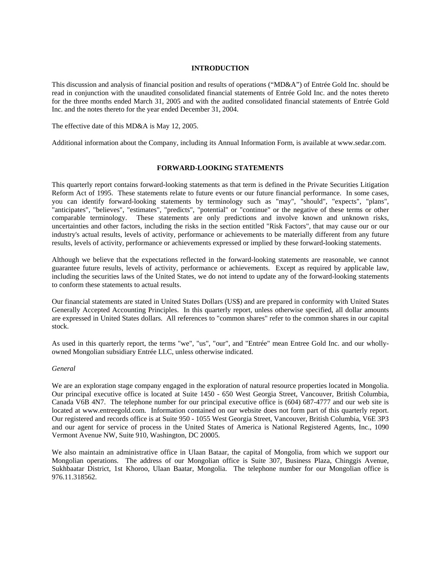## **INTRODUCTION**

This discussion and analysis of financial position and results of operations ("MD&A") of Entrée Gold Inc. should be read in conjunction with the unaudited consolidated financial statements of Entrée Gold Inc. and the notes thereto for the three months ended March 31, 2005 and with the audited consolidated financial statements of Entrée Gold Inc. and the notes thereto for the year ended December 31, 2004.

The effective date of this MD&A is May 12, 2005.

Additional information about the Company, including its Annual Information Form, is available at www.sedar.com.

#### **FORWARD-LOOKING STATEMENTS**

This quarterly report contains forward-looking statements as that term is defined in the Private Securities Litigation Reform Act of 1995. These statements relate to future events or our future financial performance. In some cases, you can identify forward-looking statements by terminology such as "may", "should", "expects", "plans", "anticipates", "believes", "estimates", "predicts", "potential" or "continue" or the negative of these terms or other comparable terminology. These statements are only predictions and involve known and unknown risks, uncertainties and other factors, including the risks in the section entitled "Risk Factors", that may cause our or our industry's actual results, levels of activity, performance or achievements to be materially different from any future results, levels of activity, performance or achievements expressed or implied by these forward-looking statements.

Although we believe that the expectations reflected in the forward-looking statements are reasonable, we cannot guarantee future results, levels of activity, performance or achievements. Except as required by applicable law, including the securities laws of the United States, we do not intend to update any of the forward-looking statements to conform these statements to actual results.

Our financial statements are stated in United States Dollars (US\$) and are prepared in conformity with United States Generally Accepted Accounting Principles. In this quarterly report, unless otherwise specified, all dollar amounts are expressed in United States dollars. All references to "common shares" refer to the common shares in our capital stock.

As used in this quarterly report, the terms "we", "us", "our", and "Entrée" mean Entree Gold Inc. and our whollyowned Mongolian subsidiary Entrée LLC, unless otherwise indicated.

#### *General*

We are an exploration stage company engaged in the exploration of natural resource properties located in Mongolia. Our principal executive office is located at Suite 1450 - 650 West Georgia Street, Vancouver, British Columbia, Canada V6B 4N7. The telephone number for our principal executive office is (604) 687-4777 and our web site is located at www.entreegold.com. Information contained on our website does not form part of this quarterly report. Our registered and records office is at Suite 950 - 1055 West Georgia Street, Vancouver, British Columbia, V6E 3P3 and our agent for service of process in the United States of America is National Registered Agents, Inc., 1090 Vermont Avenue NW, Suite 910, Washington, DC 20005.

We also maintain an administrative office in Ulaan Bataar, the capital of Mongolia, from which we support our Mongolian operations. The address of our Mongolian office is Suite 307, Business Plaza, Chinggis Avenue, Sukhbaatar District, 1st Khoroo, Ulaan Baatar, Mongolia. The telephone number for our Mongolian office is 976.11.318562.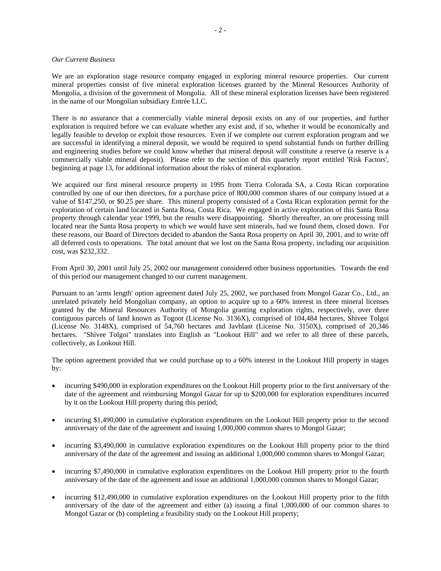#### *Our Current Business*

We are an exploration stage resource company engaged in exploring mineral resource properties. Our current mineral properties consist of five mineral exploration licenses granted by the Mineral Resources Authority of Mongolia, a division of the government of Mongolia. All of these mineral exploration licenses have been registered in the name of our Mongolian subsidiary Entrée LLC.

There is no assurance that a commercially viable mineral deposit exists on any of our properties, and further exploration is required before we can evaluate whether any exist and, if so, whether it would be economically and legally feasible to develop or exploit those resources. Even if we complete our current exploration program and we are successful in identifying a mineral deposit, we would be required to spend substantial funds on further drilling and engineering studies before we could know whether that mineral deposit will constitute a reserve (a reserve is a commercially viable mineral deposit). Please refer to the section of this quarterly report entitled 'Risk Factors', beginning at page 13, for additional information about the risks of mineral exploration.

We acquired our first mineral resource property in 1995 from Tierra Colorada SA, a Costa Rican corporation controlled by one of our then directors, for a purchase price of 800,000 common shares of our company issued at a value of \$147,250, or \$0.25 per share. This mineral property consisted of a Costa Rican exploration permit for the exploration of certain land located in Santa Rosa, Costa Rica. We engaged in active exploration of this Santa Rosa property through calendar year 1999, but the results were disappointing. Shortly thereafter, an ore processing mill located near the Santa Rosa property to which we would have sent minerals, had we found them, closed down. For these reasons, our Board of Directors decided to abandon the Santa Rosa property on April 30, 2001, and to write off all deferred costs to operations. The total amount that we lost on the Santa Rosa property, including our acquisition cost, was \$232,332.

From April 30, 2001 until July 25, 2002 our management considered other business opportunities. Towards the end of this period our management changed to our current management.

Pursuant to an 'arms length' option agreement dated July 25, 2002, we purchased from Mongol Gazar Co., Ltd., an unrelated privately held Mongolian company, an option to acquire up to a 60% interest in three mineral licenses granted by the Mineral Resources Authority of Mongolia granting exploration rights, respectively, over three contiguous parcels of land known as Togoot (License No. 3136X), comprised of 104,484 hectares, Shivee Tolgoi (License No. 3148X), comprised of 54,760 hectares and Javhlant (License No. 3150X), comprised of 20,346 hectares. "Shivee Tolgoi" translates into English as "Lookout Hill" and we refer to all three of these parcels, collectively, as Lookout Hill.

The option agreement provided that we could purchase up to a 60% interest in the Lookout Hill property in stages by:

- incurring \$490,000 in exploration expenditures on the Lookout Hill property prior to the first anniversary of the date of the agreement and reimbursing Mongol Gazar for up to \$200,000 for exploration expenditures incurred by it on the Lookout Hill property during this period;
- incurring \$1,490,000 in cumulative exploration expenditures on the Lookout Hill property prior to the second anniversary of the date of the agreement and issuing 1,000,000 common shares to Mongol Gazar;
- incurring \$3,490,000 in cumulative exploration expenditures on the Lookout Hill property prior to the third anniversary of the date of the agreement and issuing an additional 1,000,000 common shares to Mongol Gazar;
- incurring \$7,490,000 in cumulative exploration expenditures on the Lookout Hill property prior to the fourth anniversary of the date of the agreement and issue an additional 1,000,000 common shares to Mongol Gazar;
- incurring \$12,490,000 in cumulative exploration expenditures on the Lookout Hill property prior to the fifth anniversary of the date of the agreement and either (a) issuing a final 1,000,000 of our common shares to Mongol Gazar or (b) completing a feasibility study on the Lookout Hill property;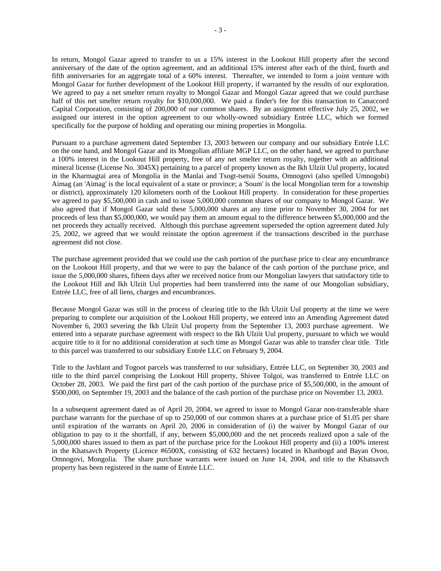In return, Mongol Gazar agreed to transfer to us a 15% interest in the Lookout Hill property after the second anniversary of the date of the option agreement, and an additional 15% interest after each of the third, fourth and fifth anniversaries for an aggregate total of a 60% interest. Thereafter, we intended to form a joint venture with Mongol Gazar for further development of the Lookout Hill property, if warranted by the results of our exploration. We agreed to pay a net smelter return royalty to Mongol Gazar and Mongol Gazar agreed that we could purchase half of this net smelter return royalty for \$10,000,000. We paid a finder's fee for this transaction to Canaccord Capital Corporation, consisting of 200,000 of our common shares. By an assignment effective July 25, 2002, we assigned our interest in the option agreement to our wholly-owned subsidiary Entrée LLC, which we formed specifically for the purpose of holding and operating our mining properties in Mongolia.

Pursuant to a purchase agreement dated September 13, 2003 between our company and our subsidiary Entrée LLC on the one hand, and Mongol Gazar and its Mongolian affiliate MGP LLC, on the other hand, we agreed to purchase a 100% interest in the Lookout Hill property, free of any net smelter return royalty, together with an additional mineral license (License No. 3045X) pertaining to a parcel of property known as the Ikh Ulziit Uul property, located in the Kharmagtai area of Mongolia in the Manlai and Tsogt-tsetsii Soums, Omnogovi (also spelled Umnogobi) Aimag (an 'Aimag' is the local equivalent of a state or province; a 'Soum' is the local Mongolian term for a township or district), approximately 120 kilometers north of the Lookout Hill property. In consideration for these properties we agreed to pay \$5,500,000 in cash and to issue 5,000,000 common shares of our company to Mongol Gazar. We also agreed that if Mongol Gazar sold these 5,000,000 shares at any time prior to November 30, 2004 for net proceeds of less than \$5,000,000, we would pay them an amount equal to the difference between \$5,000,000 and the net proceeds they actually received. Although this purchase agreement superseded the option agreement dated July 25, 2002, we agreed that we would reinstate the option agreement if the transactions described in the purchase agreement did not close.

The purchase agreement provided that we could use the cash portion of the purchase price to clear any encumbrance on the Lookout Hill property, and that we were to pay the balance of the cash portion of the purchase price, and issue the 5,000,000 shares, fifteen days after we received notice from our Mongolian lawyers that satisfactory title to the Lookout Hill and Ikh Ulziit Uul properties had been transferred into the name of our Mongolian subsidiary, Entrée LLC, free of all liens, charges and encumbrances.

Because Mongol Gazar was still in the process of clearing title to the Ikh Ulziit Uul property at the time we were preparing to complete our acquisition of the Lookout Hill property, we entered into an Amending Agreement dated November 6, 2003 severing the Ikh Ulziit Uul property from the September 13, 2003 purchase agreement. We entered into a separate purchase agreement with respect to the Ikh Ulziit Uul property, pursuant to which we would acquire title to it for no additional consideration at such time as Mongol Gazar was able to transfer clear title. Title to this parcel was transferred to our subsidiary Entrée LLC on February 9, 2004.

Title to the Javhlant and Togoot parcels was transferred to our subsidiary, Entrée LLC, on September 30, 2003 and title to the third parcel comprising the Lookout Hill property, Shivee Tolgoi, was transferred to Entrée LLC on October 28, 2003. We paid the first part of the cash portion of the purchase price of \$5,500,000, in the amount of \$500,000, on September 19, 2003 and the balance of the cash portion of the purchase price on November 13, 2003.

In a subsequent agreement dated as of April 20, 2004, we agreed to issue to Mongol Gazar non-transferable share purchase warrants for the purchase of up to 250,000 of our common shares at a purchase price of \$1.05 per share until expiration of the warrants on April 20, 2006 in consideration of (i) the waiver by Mongol Gazar of our obligation to pay to it the shortfall, if any, between \$5,000,000 and the net proceeds realized upon a sale of the 5,000,000 shares issued to them as part of the purchase price for the Lookout Hill property and (ii) a 100% interest in the Khatsavch Property (Licence #6500X, consisting of 632 hectares) located in Khanbogd and Bayan Ovoo, Omnogovi, Mongolia. The share purchase warrants were issued on June 14, 2004, and title to the Khatsavch property has been registered in the name of Entrée LLC.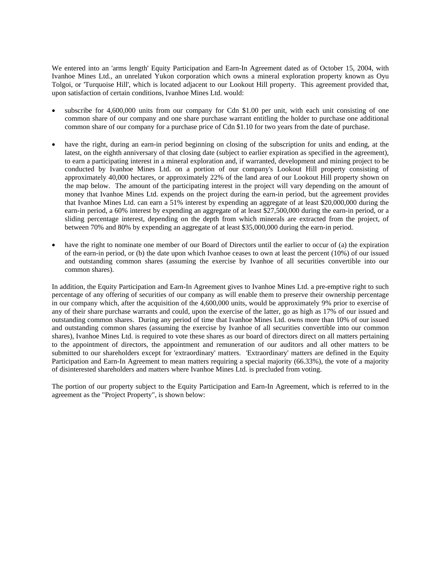We entered into an 'arms length' Equity Participation and Earn-In Agreement dated as of October 15, 2004, with Ivanhoe Mines Ltd., an unrelated Yukon corporation which owns a mineral exploration property known as Oyu Tolgoi, or 'Turquoise Hill', which is located adjacent to our Lookout Hill property. This agreement provided that, upon satisfaction of certain conditions, Ivanhoe Mines Ltd. would:

- subscribe for 4,600,000 units from our company for Cdn \$1.00 per unit, with each unit consisting of one common share of our company and one share purchase warrant entitling the holder to purchase one additional common share of our company for a purchase price of Cdn \$1.10 for two years from the date of purchase.
- have the right, during an earn-in period beginning on closing of the subscription for units and ending, at the latest, on the eighth anniversary of that closing date (subject to earlier expiration as specified in the agreement), to earn a participating interest in a mineral exploration and, if warranted, development and mining project to be conducted by Ivanhoe Mines Ltd. on a portion of our company's Lookout Hill property consisting of approximately 40,000 hectares, or approximately 22% of the land area of our Lookout Hill property shown on the map below. The amount of the participating interest in the project will vary depending on the amount of money that Ivanhoe Mines Ltd. expends on the project during the earn-in period, but the agreement provides that Ivanhoe Mines Ltd. can earn a 51% interest by expending an aggregate of at least \$20,000,000 during the earn-in period, a 60% interest by expending an aggregate of at least \$27,500,000 during the earn-in period, or a sliding percentage interest, depending on the depth from which minerals are extracted from the project, of between 70% and 80% by expending an aggregate of at least \$35,000,000 during the earn-in period.
- have the right to nominate one member of our Board of Directors until the earlier to occur of (a) the expiration of the earn-in period, or (b) the date upon which Ivanhoe ceases to own at least the percent (10%) of our issued and outstanding common shares (assuming the exercise by Ivanhoe of all securities convertible into our common shares).

In addition, the Equity Participation and Earn-In Agreement gives to Ivanhoe Mines Ltd. a pre-emptive right to such percentage of any offering of securities of our company as will enable them to preserve their ownership percentage in our company which, after the acquisition of the 4,600,000 units, would be approximately 9% prior to exercise of any of their share purchase warrants and could, upon the exercise of the latter, go as high as 17% of our issued and outstanding common shares. During any period of time that Ivanhoe Mines Ltd. owns more than 10% of our issued and outstanding common shares (assuming the exercise by Ivanhoe of all securities convertible into our common shares), Ivanhoe Mines Ltd. is required to vote these shares as our board of directors direct on all matters pertaining to the appointment of directors, the appointment and remuneration of our auditors and all other matters to be submitted to our shareholders except for 'extraordinary' matters. 'Extraordinary' matters are defined in the Equity Participation and Earn-In Agreement to mean matters requiring a special majority (66.33%), the vote of a majority of disinterested shareholders and matters where Ivanhoe Mines Ltd. is precluded from voting.

The portion of our property subject to the Equity Participation and Earn-In Agreement, which is referred to in the agreement as the "Project Property", is shown below: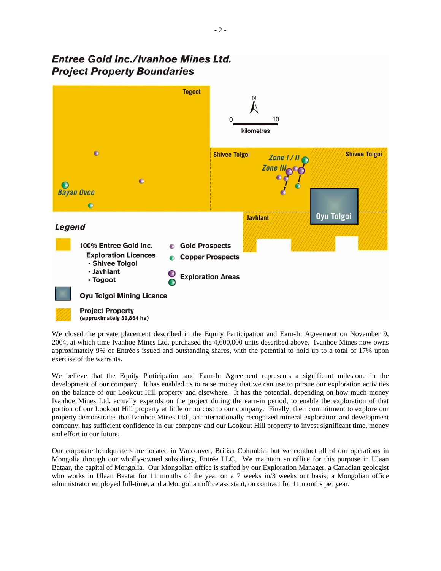# **Entree Gold Inc./Ivanhoe Mines Ltd. Project Property Boundaries**



We closed the private placement described in the Equity Participation and Earn-In Agreement on November 9, 2004, at which time Ivanhoe Mines Ltd. purchased the 4,600,000 units described above. Ivanhoe Mines now owns approximately 9% of Entrée's issued and outstanding shares, with the potential to hold up to a total of 17% upon exercise of the warrants.

We believe that the Equity Participation and Earn-In Agreement represents a significant milestone in the development of our company. It has enabled us to raise money that we can use to pursue our exploration activities on the balance of our Lookout Hill property and elsewhere. It has the potential, depending on how much money Ivanhoe Mines Ltd. actually expends on the project during the earn-in period, to enable the exploration of that portion of our Lookout Hill property at little or no cost to our company. Finally, their commitment to explore our property demonstrates that Ivanhoe Mines Ltd., an internationally recognized mineral exploration and development company, has sufficient confidence in our company and our Lookout Hill property to invest significant time, money and effort in our future.

Our corporate headquarters are located in Vancouver, British Columbia, but we conduct all of our operations in Mongolia through our wholly-owned subsidiary, Entrée LLC. We maintain an office for this purpose in Ulaan Bataar, the capital of Mongolia. Our Mongolian office is staffed by our Exploration Manager, a Canadian geologist who works in Ulaan Baatar for 11 months of the year on a 7 weeks in/3 weeks out basis; a Mongolian office administrator employed full-time, and a Mongolian office assistant, on contract for 11 months per year.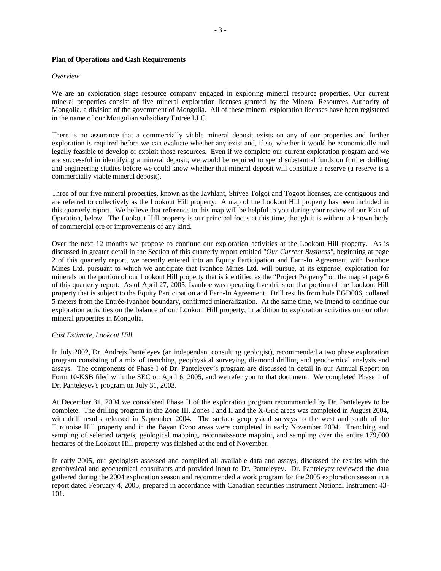#### **Plan of Operations and Cash Requirements**

#### *Overview*

We are an exploration stage resource company engaged in exploring mineral resource properties. Our current mineral properties consist of five mineral exploration licenses granted by the Mineral Resources Authority of Mongolia, a division of the government of Mongolia. All of these mineral exploration licenses have been registered in the name of our Mongolian subsidiary Entrée LLC.

There is no assurance that a commercially viable mineral deposit exists on any of our properties and further exploration is required before we can evaluate whether any exist and, if so, whether it would be economically and legally feasible to develop or exploit those resources. Even if we complete our current exploration program and we are successful in identifying a mineral deposit, we would be required to spend substantial funds on further drilling and engineering studies before we could know whether that mineral deposit will constitute a reserve (a reserve is a commercially viable mineral deposit).

Three of our five mineral properties, known as the Javhlant, Shivee Tolgoi and Togoot licenses, are contiguous and are referred to collectively as the Lookout Hill property. A map of the Lookout Hill property has been included in this quarterly report. We believe that reference to this map will be helpful to you during your review of our Plan of Operation, below. The Lookout Hill property is our principal focus at this time, though it is without a known body of commercial ore or improvements of any kind.

Over the next 12 months we propose to continue our exploration activities at the Lookout Hill property. As is discussed in greater detail in the Section of this quarterly report entitled "*Our Current Business"*, beginning at page 2 of this quarterly report, we recently entered into an Equity Participation and Earn-In Agreement with Ivanhoe Mines Ltd. pursuant to which we anticipate that Ivanhoe Mines Ltd. will pursue, at its expense, exploration for minerals on the portion of our Lookout Hill property that is identified as the "Project Property" on the map at page 6 of this quarterly report.As of April 27, 2005, Ivanhoe was operating five drills on that portion of the Lookout Hill property that is subject to the Equity Participation and Earn-In Agreement. Drill results from hole EGD006, collared 5 meters from the Entrée-Ivanhoe boundary, confirmed mineralization. At the same time, we intend to continue our exploration activities on the balance of our Lookout Hill property, in addition to exploration activities on our other mineral properties in Mongolia.

#### *Cost Estimate, Lookout Hill*

In July 2002, Dr. Andrejs Panteleyev (an independent consulting geologist), recommended a two phase exploration program consisting of a mix of trenching, geophysical surveying, diamond drilling and geochemical analysis and assays. The components of Phase I of Dr. Panteleyev's program are discussed in detail in our Annual Report on Form 10-KSB filed with the SEC on April 6, 2005, and we refer you to that document. We completed Phase 1 of Dr. Panteleyev's program on July 31, 2003.

At December 31, 2004 we considered Phase II of the exploration program recommended by Dr. Panteleyev to be complete. The drilling program in the Zone III, Zones I and II and the X-Grid areas was completed in August 2004, with drill results released in September 2004. The surface geophysical surveys to the west and south of the Turquoise Hill property and in the Bayan Ovoo areas were completed in early November 2004. Trenching and sampling of selected targets, geological mapping, reconnaissance mapping and sampling over the entire 179,000 hectares of the Lookout Hill property was finished at the end of November.

In early 2005, our geologists assessed and compiled all available data and assays, discussed the results with the geophysical and geochemical consultants and provided input to Dr. Panteleyev. Dr. Panteleyev reviewed the data gathered during the 2004 exploration season and recommended a work program for the 2005 exploration season in a report dated February 4, 2005, prepared in accordance with Canadian securities instrument National Instrument 43- 101.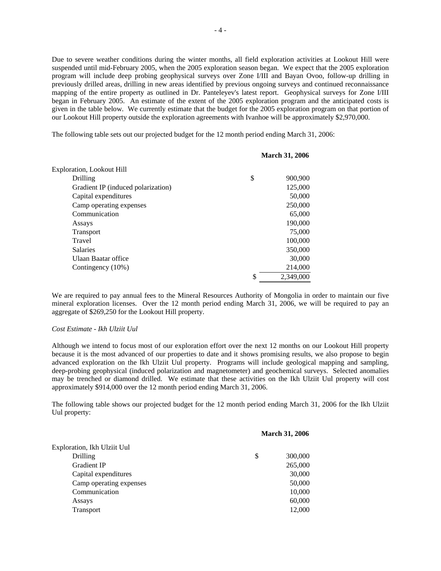Due to severe weather conditions during the winter months, all field exploration activities at Lookout Hill were suspended until mid-February 2005, when the 2005 exploration season began. We expect that the 2005 exploration program will include deep probing geophysical surveys over Zone I/III and Bayan Ovoo, follow-up drilling in previously drilled areas, drilling in new areas identified by previous ongoing surveys and continued reconnaissance mapping of the entire property as outlined in Dr. Panteleyev's latest report. Geophysical surveys for Zone I/III began in February 2005. An estimate of the extent of the 2005 exploration program and the anticipated costs is given in the table below. We currently estimate that the budget for the 2005 exploration program on that portion of our Lookout Hill property outside the exploration agreements with Ivanhoe will be approximately \$2,970,000.

The following table sets out our projected budget for the 12 month period ending March 31, 2006:

|                                    | <b>March 31, 2006</b> |
|------------------------------------|-----------------------|
| Exploration, Lookout Hill          |                       |
| Drilling                           | \$<br>900,900         |
| Gradient IP (induced polarization) | 125,000               |
| Capital expenditures               | 50,000                |
| Camp operating expenses            | 250,000               |
| Communication                      | 65,000                |
| Assays                             | 190,000               |
| <b>Transport</b>                   | 75,000                |
| Travel                             | 100,000               |
| <b>Salaries</b>                    | 350,000               |
| <b>Ulaan Baatar office</b>         | 30,000                |
| Contingency (10%)                  | 214,000               |
|                                    | \$<br>2.349,000       |

We are required to pay annual fees to the Mineral Resources Authority of Mongolia in order to maintain our five mineral exploration licenses. Over the 12 month period ending March 31, 2006, we will be required to pay an aggregate of \$269,250 for the Lookout Hill property.

#### *Cost Estimate - Ikh Ulziit Uul*

Although we intend to focus most of our exploration effort over the next 12 months on our Lookout Hill property because it is the most advanced of our properties to date and it shows promising results, we also propose to begin advanced exploration on the Ikh Ulziit Uul property. Programs will include geological mapping and sampling, deep-probing geophysical (induced polarization and magnetometer) and geochemical surveys. Selected anomalies may be trenched or diamond drilled. We estimate that these activities on the Ikh Ulziit Uul property will cost approximately \$914,000 over the 12 month period ending March 31, 2006.

The following table shows our projected budget for the 12 month period ending March 31, 2006 for the Ikh Ulziit Uul property:

|                             | <b>March 31, 2006</b> |         |  |
|-----------------------------|-----------------------|---------|--|
| Exploration, Ikh Ulziit Uul |                       |         |  |
| Drilling                    | \$                    | 300,000 |  |
| <b>Gradient IP</b>          |                       | 265,000 |  |
| Capital expenditures        |                       | 30,000  |  |
| Camp operating expenses     |                       | 50,000  |  |
| Communication               |                       | 10,000  |  |
| Assays                      |                       | 60,000  |  |
| Transport                   |                       | 12,000  |  |
|                             |                       |         |  |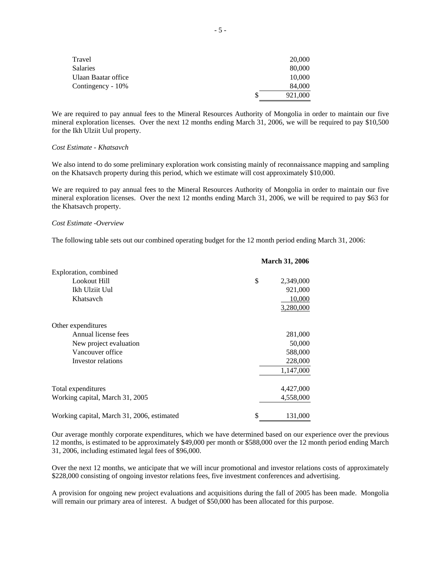| Travel              | 20,000  |
|---------------------|---------|
| <b>Salaries</b>     | 80,000  |
| Ulaan Baatar office | 10,000  |
| Contingency - 10%   | 84,000  |
|                     | 921,000 |

We are required to pay annual fees to the Mineral Resources Authority of Mongolia in order to maintain our five mineral exploration licenses. Over the next 12 months ending March 31, 2006, we will be required to pay \$10,500 for the Ikh Ulziit Uul property.

#### *Cost Estimate - Khatsavch*

We also intend to do some preliminary exploration work consisting mainly of reconnaissance mapping and sampling on the Khatsavch property during this period, which we estimate will cost approximately \$10,000.

We are required to pay annual fees to the Mineral Resources Authority of Mongolia in order to maintain our five mineral exploration licenses. Over the next 12 months ending March 31, 2006, we will be required to pay \$63 for the Khatsavch property.

## *Cost Estimate -Overview*

The following table sets out our combined operating budget for the 12 month period ending March 31, 2006:

|                                            | <b>March 31, 2006</b> |           |
|--------------------------------------------|-----------------------|-----------|
| Exploration, combined                      |                       |           |
| Lookout Hill                               | \$                    | 2,349,000 |
| Ikh Ulziit Uul                             |                       | 921,000   |
| Khatsavch                                  |                       | 10,000    |
|                                            |                       | 3,280,000 |
| Other expenditures                         |                       |           |
| Annual license fees                        |                       | 281,000   |
| New project evaluation                     |                       | 50,000    |
| Vancouver office                           |                       | 588,000   |
| Investor relations                         |                       | 228,000   |
|                                            |                       | 1,147,000 |
| Total expenditures                         |                       | 4,427,000 |
| Working capital, March 31, 2005            |                       | 4,558,000 |
| Working capital, March 31, 2006, estimated | \$                    | 131,000   |

Our average monthly corporate expenditures, which we have determined based on our experience over the previous 12 months, is estimated to be approximately \$49,000 per month or \$588,000 over the 12 month period ending March 31, 2006, including estimated legal fees of \$96,000.

Over the next 12 months, we anticipate that we will incur promotional and investor relations costs of approximately \$228,000 consisting of ongoing investor relations fees, five investment conferences and advertising.

A provision for ongoing new project evaluations and acquisitions during the fall of 2005 has been made. Mongolia will remain our primary area of interest. A budget of \$50,000 has been allocated for this purpose.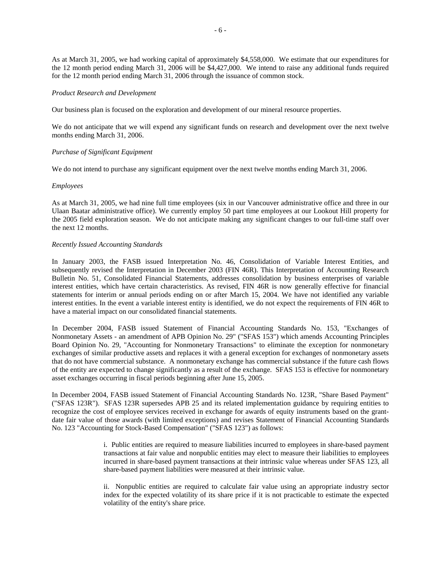As at March 31, 2005, we had working capital of approximately \$4,558,000. We estimate that our expenditures for the 12 month period ending March 31, 2006 will be \$4,427,000. We intend to raise any additional funds required for the 12 month period ending March 31, 2006 through the issuance of common stock.

#### *Product Research and Development*

Our business plan is focused on the exploration and development of our mineral resource properties.

We do not anticipate that we will expend any significant funds on research and development over the next twelve months ending March 31, 2006.

#### *Purchase of Significant Equipment*

We do not intend to purchase any significant equipment over the next twelve months ending March 31, 2006.

#### *Employees*

As at March 31, 2005, we had nine full time employees (six in our Vancouver administrative office and three in our Ulaan Baatar administrative office). We currently employ 50 part time employees at our Lookout Hill property for the 2005 field exploration season. We do not anticipate making any significant changes to our full-time staff over the next 12 months.

### *Recently Issued Accounting Standards*

In January 2003, the FASB issued Interpretation No. 46, Consolidation of Variable Interest Entities, and subsequently revised the Interpretation in December 2003 (FIN 46R). This Interpretation of Accounting Research Bulletin No. 51, Consolidated Financial Statements, addresses consolidation by business enterprises of variable interest entities, which have certain characteristics. As revised, FIN 46R is now generally effective for financial statements for interim or annual periods ending on or after March 15, 2004. We have not identified any variable interest entities. In the event a variable interest entity is identified, we do not expect the requirements of FIN 46R to have a material impact on our consolidated financial statements.

In December 2004, FASB issued Statement of Financial Accounting Standards No. 153, "Exchanges of Nonmonetary Assets - an amendment of APB Opinion No. 29" ("SFAS 153") which amends Accounting Principles Board Opinion No. 29, "Accounting for Nonmonetary Transactions" to eliminate the exception for nonmonetary exchanges of similar productive assets and replaces it with a general exception for exchanges of nonmonetary assets that do not have commercial substance. A nonmonetary exchange has commercial substance if the future cash flows of the entity are expected to change significantly as a result of the exchange. SFAS 153 is effective for nonmonetary asset exchanges occurring in fiscal periods beginning after June 15, 2005.

In December 2004, FASB issued Statement of Financial Accounting Standards No. 123R, "Share Based Payment" ("SFAS 123R"). SFAS 123R supersedes APB 25 and its related implementation guidance by requiring entities to recognize the cost of employee services received in exchange for awards of equity instruments based on the grantdate fair value of those awards (with limited exceptions) and revises Statement of Financial Accounting Standards No. 123 "Accounting for Stock-Based Compensation" ("SFAS 123") as follows:

> i. Public entities are required to measure liabilities incurred to employees in share-based payment transactions at fair value and nonpublic entities may elect to measure their liabilities to employees incurred in share-based payment transactions at their intrinsic value whereas under SFAS 123, all share-based payment liabilities were measured at their intrinsic value.

> ii. Nonpublic entities are required to calculate fair value using an appropriate industry sector index for the expected volatility of its share price if it is not practicable to estimate the expected volatility of the entity's share price.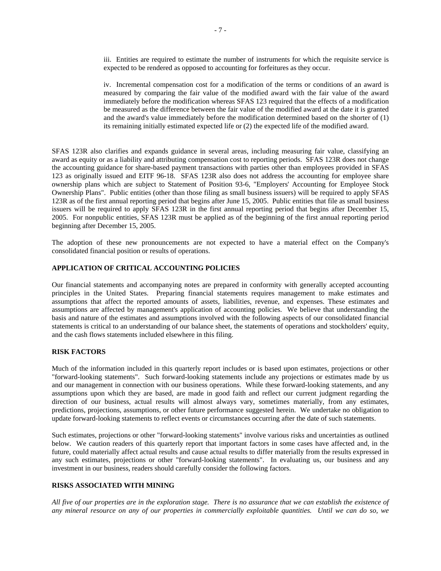iv. Incremental compensation cost for a modification of the terms or conditions of an award is measured by comparing the fair value of the modified award with the fair value of the award immediately before the modification whereas SFAS 123 required that the effects of a modification be measured as the difference between the fair value of the modified award at the date it is granted and the award's value immediately before the modification determined based on the shorter of (1) its remaining initially estimated expected life or (2) the expected life of the modified award.

SFAS 123R also clarifies and expands guidance in several areas, including measuring fair value, classifying an award as equity or as a liability and attributing compensation cost to reporting periods. SFAS 123R does not change the accounting guidance for share-based payment transactions with parties other than employees provided in SFAS 123 as originally issued and EITF 96-18. SFAS 123R also does not address the accounting for employee share ownership plans which are subject to Statement of Position 93-6, "Employers' Accounting for Employee Stock Ownership Plans". Public entities (other than those filing as small business issuers) will be required to apply SFAS 123R as of the first annual reporting period that begins after June 15, 2005. Public entities that file as small business issuers will be required to apply SFAS 123R in the first annual reporting period that begins after December 15, 2005. For nonpublic entities, SFAS 123R must be applied as of the beginning of the first annual reporting period beginning after December 15, 2005.

The adoption of these new pronouncements are not expected to have a material effect on the Company's consolidated financial position or results of operations.

## **APPLICATION OF CRITICAL ACCOUNTING POLICIES**

Our financial statements and accompanying notes are prepared in conformity with generally accepted accounting principles in the United States. Preparing financial statements requires management to make estimates and assumptions that affect the reported amounts of assets, liabilities, revenue, and expenses. These estimates and assumptions are affected by management's application of accounting policies. We believe that understanding the basis and nature of the estimates and assumptions involved with the following aspects of our consolidated financial statements is critical to an understanding of our balance sheet, the statements of operations and stockholders' equity, and the cash flows statements included elsewhere in this filing.

## **RISK FACTORS**

Much of the information included in this quarterly report includes or is based upon estimates, projections or other "forward-looking statements". Such forward-looking statements include any projections or estimates made by us and our management in connection with our business operations. While these forward-looking statements, and any assumptions upon which they are based, are made in good faith and reflect our current judgment regarding the direction of our business, actual results will almost always vary, sometimes materially, from any estimates, predictions, projections, assumptions, or other future performance suggested herein. We undertake no obligation to update forward-looking statements to reflect events or circumstances occurring after the date of such statements.

Such estimates, projections or other "forward-looking statements" involve various risks and uncertainties as outlined below. We caution readers of this quarterly report that important factors in some cases have affected and, in the future, could materially affect actual results and cause actual results to differ materially from the results expressed in any such estimates, projections or other "forward-looking statements". In evaluating us, our business and any investment in our business, readers should carefully consider the following factors.

#### **RISKS ASSOCIATED WITH MINING**

*All five of our properties are in the exploration stage. There is no assurance that we can establish the existence of any mineral resource on any of our properties in commercially exploitable quantities. Until we can do so, we*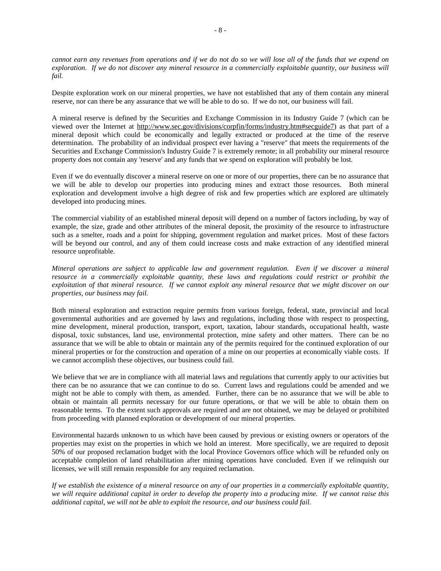*cannot earn any revenues from operations and if we do not do so we will lose all of the funds that we expend on exploration. If we do not discover any mineral resource in a commercially exploitable quantity, our business will fail.* 

Despite exploration work on our mineral properties, we have not established that any of them contain any mineral reserve, nor can there be any assurance that we will be able to do so. If we do not, our business will fail.

A mineral reserve is defined by the Securities and Exchange Commission in its Industry Guide 7 (which can be viewed over the Internet at http://www.sec.gov/divisions/corpfin/forms/industry.htm#secguide7) as that part of a mineral deposit which could be economically and legally extracted or produced at the time of the reserve determination. The probability of an individual prospect ever having a "reserve" that meets the requirements of the Securities and Exchange Commission's Industry Guide 7 is extremely remote; in all probability our mineral resource property does not contain any 'reserve' and any funds that we spend on exploration will probably be lost.

Even if we do eventually discover a mineral reserve on one or more of our properties, there can be no assurance that we will be able to develop our properties into producing mines and extract those resources. Both mineral exploration and development involve a high degree of risk and few properties which are explored are ultimately developed into producing mines.

The commercial viability of an established mineral deposit will depend on a number of factors including, by way of example, the size, grade and other attributes of the mineral deposit, the proximity of the resource to infrastructure such as a smelter, roads and a point for shipping, government regulation and market prices. Most of these factors will be beyond our control, and any of them could increase costs and make extraction of any identified mineral resource unprofitable.

*Mineral operations are subject to applicable law and government regulation. Even if we discover a mineral resource in a commercially exploitable quantity, these laws and regulations could restrict or prohibit the exploitation of that mineral resource. If we cannot exploit any mineral resource that we might discover on our properties, our business may fail.* 

Both mineral exploration and extraction require permits from various foreign, federal, state, provincial and local governmental authorities and are governed by laws and regulations, including those with respect to prospecting, mine development, mineral production, transport, export, taxation, labour standards, occupational health, waste disposal, toxic substances, land use, environmental protection, mine safety and other matters. There can be no assurance that we will be able to obtain or maintain any of the permits required for the continued exploration of our mineral properties or for the construction and operation of a mine on our properties at economically viable costs. If we cannot accomplish these objectives, our business could fail.

We believe that we are in compliance with all material laws and regulations that currently apply to our activities but there can be no assurance that we can continue to do so. Current laws and regulations could be amended and we might not be able to comply with them, as amended. Further, there can be no assurance that we will be able to obtain or maintain all permits necessary for our future operations, or that we will be able to obtain them on reasonable terms. To the extent such approvals are required and are not obtained, we may be delayed or prohibited from proceeding with planned exploration or development of our mineral properties.

Environmental hazards unknown to us which have been caused by previous or existing owners or operators of the properties may exist on the properties in which we hold an interest. More specifically, we are required to deposit 50% of our proposed reclamation budget with the local Province Governors office which will be refunded only on acceptable completion of land rehabilitation after mining operations have concluded. Even if we relinquish our licenses, we will still remain responsible for any required reclamation.

*If we establish the existence of a mineral resource on any of our properties in a commercially exploitable quantity, we will require additional capital in order to develop the property into a producing mine. If we cannot raise this additional capital, we will not be able to exploit the resource, and our business could fail.*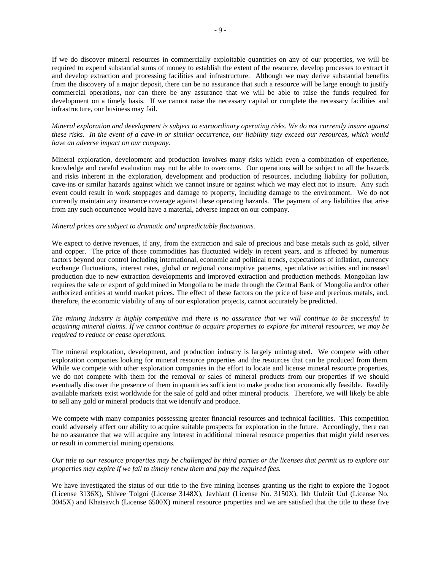If we do discover mineral resources in commercially exploitable quantities on any of our properties, we will be required to expend substantial sums of money to establish the extent of the resource, develop processes to extract it and develop extraction and processing facilities and infrastructure. Although we may derive substantial benefits from the discovery of a major deposit, there can be no assurance that such a resource will be large enough to justify commercial operations, nor can there be any assurance that we will be able to raise the funds required for development on a timely basis. If we cannot raise the necessary capital or complete the necessary facilities and infrastructure, our business may fail.

*Mineral exploration and development is subject to extraordinary operating risks. We do not currently insure against these risks. In the event of a cave-in or similar occurrence, our liability may exceed our resources, which would have an adverse impact on our company.* 

Mineral exploration, development and production involves many risks which even a combination of experience, knowledge and careful evaluation may not be able to overcome. Our operations will be subject to all the hazards and risks inherent in the exploration, development and production of resources, including liability for pollution, cave-ins or similar hazards against which we cannot insure or against which we may elect not to insure. Any such event could result in work stoppages and damage to property, including damage to the environment. We do not currently maintain any insurance coverage against these operating hazards. The payment of any liabilities that arise from any such occurrence would have a material, adverse impact on our company.

#### *Mineral prices are subject to dramatic and unpredictable fluctuations.*

We expect to derive revenues, if any, from the extraction and sale of precious and base metals such as gold, silver and copper. The price of those commodities has fluctuated widely in recent years, and is affected by numerous factors beyond our control including international, economic and political trends, expectations of inflation, currency exchange fluctuations, interest rates, global or regional consumptive patterns, speculative activities and increased production due to new extraction developments and improved extraction and production methods. Mongolian law requires the sale or export of gold mined in Mongolia to be made through the Central Bank of Mongolia and/or other authorized entities at world market prices. The effect of these factors on the price of base and precious metals, and, therefore, the economic viability of any of our exploration projects, cannot accurately be predicted.

*The mining industry is highly competitive and there is no assurance that we will continue to be successful in acquiring mineral claims. If we cannot continue to acquire properties to explore for mineral resources, we may be required to reduce or cease operations.* 

The mineral exploration, development, and production industry is largely unintegrated. We compete with other exploration companies looking for mineral resource properties and the resources that can be produced from them. While we compete with other exploration companies in the effort to locate and license mineral resource properties, we do not compete with them for the removal or sales of mineral products from our properties if we should eventually discover the presence of them in quantities sufficient to make production economically feasible. Readily available markets exist worldwide for the sale of gold and other mineral products. Therefore, we will likely be able to sell any gold or mineral products that we identify and produce.

We compete with many companies possessing greater financial resources and technical facilities. This competition could adversely affect our ability to acquire suitable prospects for exploration in the future. Accordingly, there can be no assurance that we will acquire any interest in additional mineral resource properties that might yield reserves or result in commercial mining operations.

### *Our title to our resource properties may be challenged by third parties or the licenses that permit us to explore our properties may expire if we fail to timely renew them and pay the required fees.*

We have investigated the status of our title to the five mining licenses granting us the right to explore the Togoot (License 3136X), Shivee Tolgoi (License 3148X), Javhlant (License No. 3150X), Ikh Uulziit Uul (License No. 3045X) and Khatsavch (License 6500X) mineral resource properties and we are satisfied that the title to these five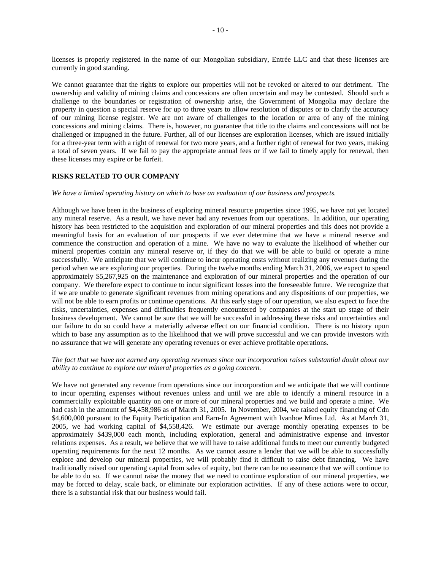licenses is properly registered in the name of our Mongolian subsidiary, Entrée LLC and that these licenses are currently in good standing.

We cannot guarantee that the rights to explore our properties will not be revoked or altered to our detriment. The ownership and validity of mining claims and concessions are often uncertain and may be contested. Should such a challenge to the boundaries or registration of ownership arise, the Government of Mongolia may declare the property in question a special reserve for up to three years to allow resolution of disputes or to clarify the accuracy of our mining license register. We are not aware of challenges to the location or area of any of the mining concessions and mining claims. There is, however, no guarantee that title to the claims and concessions will not be challenged or impugned in the future. Further, all of our licenses are exploration licenses, which are issued initially for a three-year term with a right of renewal for two more years, and a further right of renewal for two years, making a total of seven years. If we fail to pay the appropriate annual fees or if we fail to timely apply for renewal, then these licenses may expire or be forfeit.

#### **RISKS RELATED TO OUR COMPANY**

#### *We have a limited operating history on which to base an evaluation of our business and prospects.*

Although we have been in the business of exploring mineral resource properties since 1995, we have not yet located any mineral reserve. As a result, we have never had any revenues from our operations. In addition, our operating history has been restricted to the acquisition and exploration of our mineral properties and this does not provide a meaningful basis for an evaluation of our prospects if we ever determine that we have a mineral reserve and commence the construction and operation of a mine. We have no way to evaluate the likelihood of whether our mineral properties contain any mineral reserve or, if they do that we will be able to build or operate a mine successfully. We anticipate that we will continue to incur operating costs without realizing any revenues during the period when we are exploring our properties. During the twelve months ending March 31, 2006, we expect to spend approximately \$5,267,925 on the maintenance and exploration of our mineral properties and the operation of our company. We therefore expect to continue to incur significant losses into the foreseeable future. We recognize that if we are unable to generate significant revenues from mining operations and any dispositions of our properties, we will not be able to earn profits or continue operations. At this early stage of our operation, we also expect to face the risks, uncertainties, expenses and difficulties frequently encountered by companies at the start up stage of their business development. We cannot be sure that we will be successful in addressing these risks and uncertainties and our failure to do so could have a materially adverse effect on our financial condition. There is no history upon which to base any assumption as to the likelihood that we will prove successful and we can provide investors with no assurance that we will generate any operating revenues or ever achieve profitable operations.

#### *The fact that we have not earned any operating revenues since our incorporation raises substantial doubt about our ability to continue to explore our mineral properties as a going concern.*

We have not generated any revenue from operations since our incorporation and we anticipate that we will continue to incur operating expenses without revenues unless and until we are able to identify a mineral resource in a commercially exploitable quantity on one or more of our mineral properties and we build and operate a mine. We had cash in the amount of \$4,458,986 as of March 31, 2005. In November, 2004, we raised equity financing of Cdn \$4,600,000 pursuant to the Equity Participation and Earn-In Agreement with Ivanhoe Mines Ltd. As at March 31, 2005, we had working capital of \$4,558,426. We estimate our average monthly operating expenses to be approximately \$439,000 each month, including exploration, general and administrative expense and investor relations expenses. As a result, we believe that we will have to raise additional funds to meet our currently budgeted operating requirements for the next 12 months. As we cannot assure a lender that we will be able to successfully explore and develop our mineral properties, we will probably find it difficult to raise debt financing. We have traditionally raised our operating capital from sales of equity, but there can be no assurance that we will continue to be able to do so. If we cannot raise the money that we need to continue exploration of our mineral properties, we may be forced to delay, scale back, or eliminate our exploration activities. If any of these actions were to occur, there is a substantial risk that our business would fail.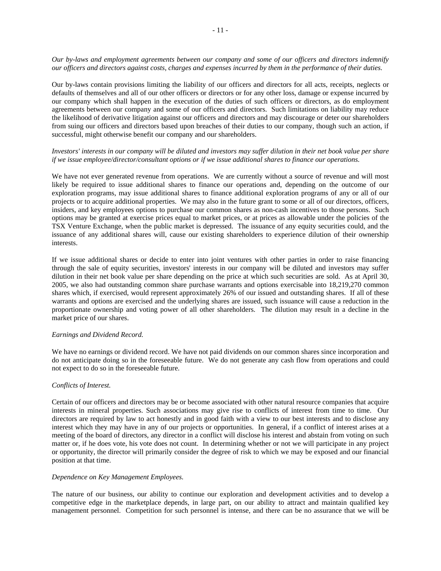*Our by-laws and employment agreements between our company and some of our officers and directors indemnify our officers and directors against costs, charges and expenses incurred by them in the performance of their duties.*

Our by-laws contain provisions limiting the liability of our officers and directors for all acts, receipts, neglects or defaults of themselves and all of our other officers or directors or for any other loss, damage or expense incurred by our company which shall happen in the execution of the duties of such officers or directors, as do employment agreements between our company and some of our officers and directors. Such limitations on liability may reduce the likelihood of derivative litigation against our officers and directors and may discourage or deter our shareholders from suing our officers and directors based upon breaches of their duties to our company, though such an action, if successful, might otherwise benefit our company and our shareholders.

## *Investors' interests in our company will be diluted and investors may suffer dilution in their net book value per share if we issue employee/director/consultant options or if we issue additional shares to finance our operations.*

We have not ever generated revenue from operations. We are currently without a source of revenue and will most likely be required to issue additional shares to finance our operations and, depending on the outcome of our exploration programs, may issue additional shares to finance additional exploration programs of any or all of our projects or to acquire additional properties. We may also in the future grant to some or all of our directors, officers, insiders, and key employees options to purchase our common shares as non-cash incentives to those persons. Such options may be granted at exercise prices equal to market prices, or at prices as allowable under the policies of the TSX Venture Exchange, when the public market is depressed. The issuance of any equity securities could, and the issuance of any additional shares will, cause our existing shareholders to experience dilution of their ownership interests.

If we issue additional shares or decide to enter into joint ventures with other parties in order to raise financing through the sale of equity securities, investors' interests in our company will be diluted and investors may suffer dilution in their net book value per share depending on the price at which such securities are sold. As at April 30, 2005, we also had outstanding common share purchase warrants and options exercisable into 18,219,270 common shares which, if exercised, would represent approximately 26% of our issued and outstanding shares. If all of these warrants and options are exercised and the underlying shares are issued, such issuance will cause a reduction in the proportionate ownership and voting power of all other shareholders. The dilution may result in a decline in the market price of our shares.

#### *Earnings and Dividend Record.*

We have no earnings or dividend record. We have not paid dividends on our common shares since incorporation and do not anticipate doing so in the foreseeable future. We do not generate any cash flow from operations and could not expect to do so in the foreseeable future.

#### *Conflicts of Interest.*

Certain of our officers and directors may be or become associated with other natural resource companies that acquire interests in mineral properties. Such associations may give rise to conflicts of interest from time to time. Our directors are required by law to act honestly and in good faith with a view to our best interests and to disclose any interest which they may have in any of our projects or opportunities. In general, if a conflict of interest arises at a meeting of the board of directors, any director in a conflict will disclose his interest and abstain from voting on such matter or, if he does vote, his vote does not count. In determining whether or not we will participate in any project or opportunity, the director will primarily consider the degree of risk to which we may be exposed and our financial position at that time.

#### *Dependence on Key Management Employees.*

The nature of our business, our ability to continue our exploration and development activities and to develop a competitive edge in the marketplace depends, in large part, on our ability to attract and maintain qualified key management personnel. Competition for such personnel is intense, and there can be no assurance that we will be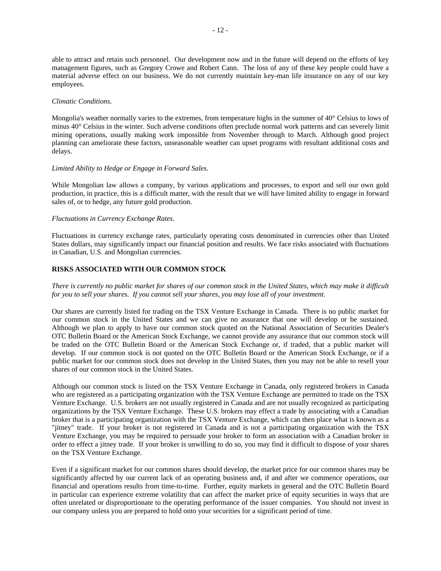able to attract and retain such personnel. Our development now and in the future will depend on the efforts of key management figures, such as Gregory Crowe and Robert Cann. The loss of any of these key people could have a material adverse effect on our business. We do not currently maintain key-man life insurance on any of our key employees.

#### *Climatic Conditions.*

Mongolia's weather normally varies to the extremes, from temperature highs in the summer of 40° Celsius to lows of minus 40° Celsius in the winter. Such adverse conditions often preclude normal work patterns and can severely limit mining operations, usually making work impossible from November through to March. Although good project planning can ameliorate these factors, unseasonable weather can upset programs with resultant additional costs and delays.

#### *Limited Ability to Hedge or Engage in Forward Sales.*

While Mongolian law allows a company, by various applications and processes, to export and sell our own gold production, in practice, this is a difficult matter, with the result that we will have limited ability to engage in forward sales of, or to hedge, any future gold production.

#### *Fluctuations in Currency Exchange Rates.*

Fluctuations in currency exchange rates, particularly operating costs denominated in currencies other than United States dollars, may significantly impact our financial position and results. We face risks associated with fluctuations in Canadian, U.S. and Mongolian currencies.

#### **RISKS ASSOCIATED WITH OUR COMMON STOCK**

*There is currently no public market for shares of our common stock in the United States, which may make it difficult for you to sell your shares. If you cannot sell your shares, you may lose all of your investment.* 

Our shares are currently listed for trading on the TSX Venture Exchange in Canada. There is no public market for our common stock in the United States and we can give no assurance that one will develop or be sustained. Although we plan to apply to have our common stock quoted on the National Association of Securities Dealer's OTC Bulletin Board or the American Stock Exchange, we cannot provide any assurance that our common stock will be traded on the OTC Bulletin Board or the American Stock Exchange or, if traded, that a public market will develop. If our common stock is not quoted on the OTC Bulletin Board or the American Stock Exchange, or if a public market for our common stock does not develop in the United States, then you may not be able to resell your shares of our common stock in the United States.

Although our common stock is listed on the TSX Venture Exchange in Canada, only registered brokers in Canada who are registered as a participating organization with the TSX Venture Exchange are permitted to trade on the TSX Venture Exchange. U.S. brokers are not usually registered in Canada and are not usually recognized as participating organizations by the TSX Venture Exchange. These U.S. brokers may effect a trade by associating with a Canadian broker that is a participating organization with the TSX Venture Exchange, which can then place what is known as a "jitney" trade. If your broker is not registered in Canada and is not a participating organization with the TSX Venture Exchange, you may be required to persuade your broker to form an association with a Canadian broker in order to effect a jitney trade. If your broker is unwilling to do so, you may find it difficult to dispose of your shares on the TSX Venture Exchange.

Even if a significant market for our common shares should develop, the market price for our common shares may be significantly affected by our current lack of an operating business and, if and after we commence operations, our financial and operations results from time-to-time. Further, equity markets in general and the OTC Bulletin Board in particular can experience extreme volatility that can affect the market price of equity securities in ways that are often unrelated or disproportionate to the operating performance of the issuer companies. You should not invest in our company unless you are prepared to hold onto your securities for a significant period of time.